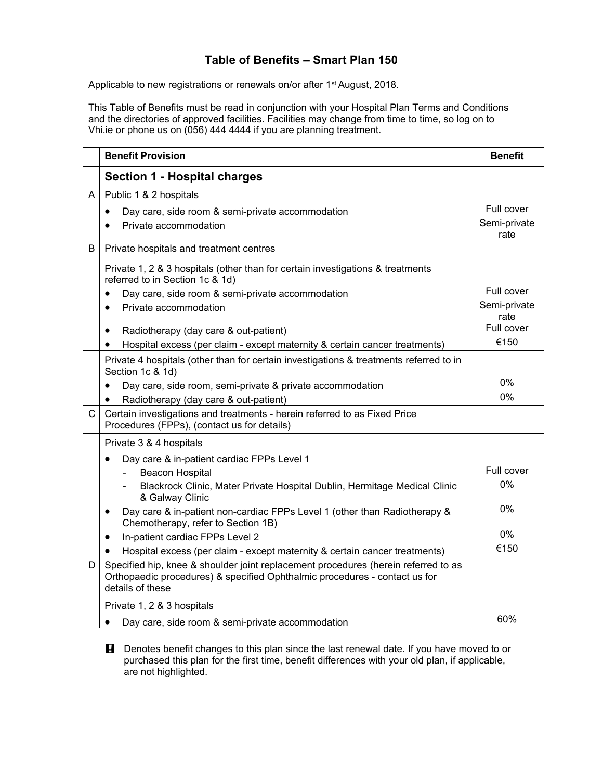## **Table of Benefits – Smart Plan 150**

Applicable to new registrations or renewals on/or after 1<sup>st</sup> August, 2018.

This Table of Benefits must be read in conjunction with your Hospital Plan Terms and Conditions and the directories of approved facilities. Facilities may change from time to time, so log on to Vhi.ie or phone us on (056) 444 4444 if you are planning treatment.

|              | <b>Benefit Provision</b>                                                                                                                                                                              | <b>Benefit</b>                     |
|--------------|-------------------------------------------------------------------------------------------------------------------------------------------------------------------------------------------------------|------------------------------------|
|              | <b>Section 1 - Hospital charges</b>                                                                                                                                                                   |                                    |
| A            | Public 1 & 2 hospitals<br>Day care, side room & semi-private accommodation<br>$\bullet$<br>Private accommodation                                                                                      | Full cover<br>Semi-private<br>rate |
| B            | Private hospitals and treatment centres                                                                                                                                                               |                                    |
|              | Private 1, 2 & 3 hospitals (other than for certain investigations & treatments<br>referred to in Section 1c & 1d)                                                                                     |                                    |
|              | Day care, side room & semi-private accommodation<br>$\bullet$<br>Private accommodation<br>$\bullet$                                                                                                   | Full cover<br>Semi-private<br>rate |
|              | Radiotherapy (day care & out-patient)<br>$\bullet$                                                                                                                                                    | Full cover<br>€150                 |
|              | Hospital excess (per claim - except maternity & certain cancer treatments)<br>$\bullet$<br>Private 4 hospitals (other than for certain investigations & treatments referred to in<br>Section 1c & 1d) |                                    |
|              | Day care, side room, semi-private & private accommodation<br>$\bullet$<br>Radiotherapy (day care & out-patient)                                                                                       | 0%<br>$0\%$                        |
| $\mathsf{C}$ | Certain investigations and treatments - herein referred to as Fixed Price<br>Procedures (FPPs), (contact us for details)                                                                              |                                    |
|              | Private 3 & 4 hospitals                                                                                                                                                                               |                                    |
|              | Day care & in-patient cardiac FPPs Level 1<br>$\bullet$<br><b>Beacon Hospital</b><br>Blackrock Clinic, Mater Private Hospital Dublin, Hermitage Medical Clinic                                        | Full cover<br>0%                   |
|              | & Galway Clinic<br>Day care & in-patient non-cardiac FPPs Level 1 (other than Radiotherapy &<br>$\bullet$<br>Chemotherapy, refer to Section 1B)                                                       | 0%                                 |
|              | In-patient cardiac FPPs Level 2<br>$\bullet$                                                                                                                                                          | $0\%$                              |
|              | Hospital excess (per claim - except maternity & certain cancer treatments)<br>$\bullet$                                                                                                               | €150                               |
| D            | Specified hip, knee & shoulder joint replacement procedures (herein referred to as<br>Orthopaedic procedures) & specified Ophthalmic procedures - contact us for<br>details of these                  |                                    |
|              | Private 1, 2 & 3 hospitals                                                                                                                                                                            |                                    |
|              | Day care, side room & semi-private accommodation<br>$\bullet$                                                                                                                                         | 60%                                |

**H** Denotes benefit changes to this plan since the last renewal date. If you have moved to or purchased this plan for the first time, benefit differences with your old plan, if applicable, are not highlighted.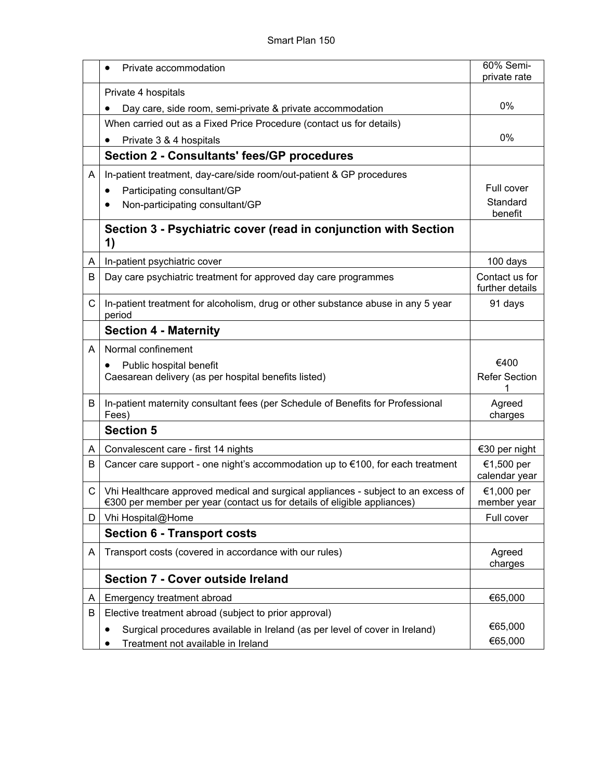|    | Private accommodation<br>$\bullet$                                                                                                                            | 60% Semi-<br>private rate         |
|----|---------------------------------------------------------------------------------------------------------------------------------------------------------------|-----------------------------------|
|    | Private 4 hospitals                                                                                                                                           |                                   |
|    | Day care, side room, semi-private & private accommodation                                                                                                     | 0%                                |
|    | When carried out as a Fixed Price Procedure (contact us for details)                                                                                          |                                   |
|    | Private 3 & 4 hospitals                                                                                                                                       | 0%                                |
|    | <b>Section 2 - Consultants' fees/GP procedures</b>                                                                                                            |                                   |
| A  | In-patient treatment, day-care/side room/out-patient & GP procedures                                                                                          |                                   |
|    | Participating consultant/GP<br>$\bullet$                                                                                                                      | Full cover                        |
|    | Non-participating consultant/GP                                                                                                                               | Standard<br>benefit               |
|    | Section 3 - Psychiatric cover (read in conjunction with Section<br>1)                                                                                         |                                   |
| A  | In-patient psychiatric cover                                                                                                                                  | 100 days                          |
| В  | Day care psychiatric treatment for approved day care programmes                                                                                               | Contact us for<br>further details |
| C  | In-patient treatment for alcoholism, drug or other substance abuse in any 5 year<br>period                                                                    | 91 days                           |
|    | <b>Section 4 - Maternity</b>                                                                                                                                  |                                   |
| A  | Normal confinement                                                                                                                                            |                                   |
|    | Public hospital benefit<br>Caesarean delivery (as per hospital benefits listed)                                                                               | €400<br><b>Refer Section</b>      |
| B  | In-patient maternity consultant fees (per Schedule of Benefits for Professional<br>Fees)                                                                      | Agreed<br>charges                 |
|    | <b>Section 5</b>                                                                                                                                              |                                   |
| A  | Convalescent care - first 14 nights                                                                                                                           | €30 per night                     |
| B  | Cancer care support - one night's accommodation up to €100, for each treatment                                                                                | €1,500 per<br>calendar year       |
| C. | Vhi Healthcare approved medical and surgical appliances - subject to an excess of<br>€300 per member per year (contact us for details of eligible appliances) | €1,000 per<br>member year         |
| D  | Vhi Hospital@Home                                                                                                                                             | Full cover                        |
|    | <b>Section 6 - Transport costs</b>                                                                                                                            |                                   |
| A  | Transport costs (covered in accordance with our rules)                                                                                                        | Agreed<br>charges                 |
|    | Section 7 - Cover outside Ireland                                                                                                                             |                                   |
| A  | Emergency treatment abroad                                                                                                                                    | €65,000                           |
| В  | Elective treatment abroad (subject to prior approval)                                                                                                         |                                   |
|    | Surgical procedures available in Ireland (as per level of cover in Ireland)                                                                                   | €65,000                           |
|    | Treatment not available in Ireland                                                                                                                            | €65,000                           |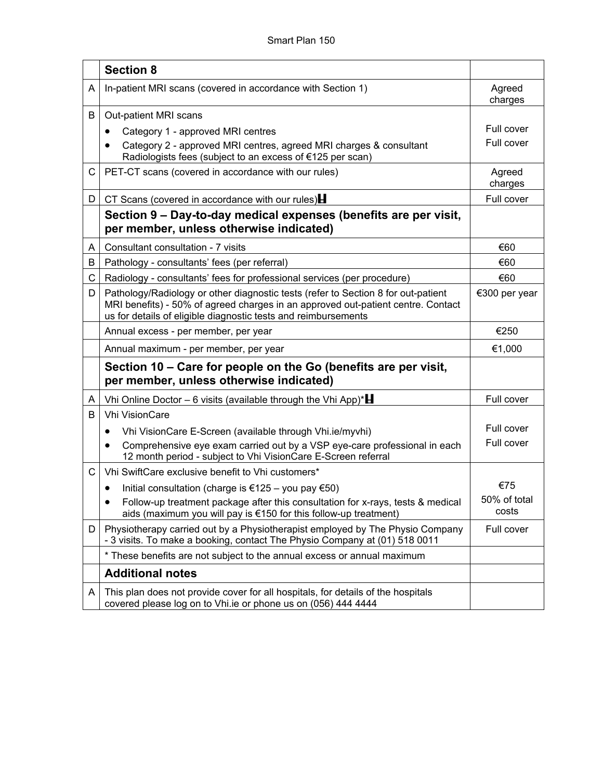|   | <b>Section 8</b>                                                                                                                                                                                                                        |                       |
|---|-----------------------------------------------------------------------------------------------------------------------------------------------------------------------------------------------------------------------------------------|-----------------------|
| A | In-patient MRI scans (covered in accordance with Section 1)                                                                                                                                                                             | Agreed<br>charges     |
| В | Out-patient MRI scans                                                                                                                                                                                                                   |                       |
|   | Category 1 - approved MRI centres                                                                                                                                                                                                       | Full cover            |
|   | Category 2 - approved MRI centres, agreed MRI charges & consultant<br>Radiologists fees (subject to an excess of €125 per scan)                                                                                                         | Full cover            |
| С | PET-CT scans (covered in accordance with our rules)                                                                                                                                                                                     | Agreed<br>charges     |
| D | CT Scans (covered in accordance with our rules) $\blacksquare$                                                                                                                                                                          | Full cover            |
|   | Section 9 – Day-to-day medical expenses (benefits are per visit,<br>per member, unless otherwise indicated)                                                                                                                             |                       |
| A | Consultant consultation - 7 visits                                                                                                                                                                                                      | €60                   |
| B | Pathology - consultants' fees (per referral)                                                                                                                                                                                            | €60                   |
| C | Radiology - consultants' fees for professional services (per procedure)                                                                                                                                                                 | €60                   |
| D | Pathology/Radiology or other diagnostic tests (refer to Section 8 for out-patient<br>MRI benefits) - 50% of agreed charges in an approved out-patient centre. Contact<br>us for details of eligible diagnostic tests and reimbursements | €300 per year         |
|   | Annual excess - per member, per year                                                                                                                                                                                                    | €250                  |
|   | Annual maximum - per member, per year                                                                                                                                                                                                   | €1,000                |
|   | Section 10 - Care for people on the Go (benefits are per visit,<br>per member, unless otherwise indicated)                                                                                                                              |                       |
| A | Vhi Online Doctor – 6 visits (available through the Vhi App)* $\blacksquare$                                                                                                                                                            | Full cover            |
| B | <b>Vhi VisionCare</b>                                                                                                                                                                                                                   |                       |
|   | Vhi VisionCare E-Screen (available through Vhi.ie/myvhi)                                                                                                                                                                                | Full cover            |
|   | Comprehensive eye exam carried out by a VSP eye-care professional in each<br>$\bullet$<br>12 month period - subject to Vhi VisionCare E-Screen referral                                                                                 | Full cover            |
| C | Vhi SwiftCare exclusive benefit to Vhi customers*                                                                                                                                                                                       |                       |
|   | Initial consultation (charge is €125 – you pay €50)<br>٠                                                                                                                                                                                | €75                   |
|   | Follow-up treatment package after this consultation for x-rays, tests & medical<br>aids (maximum you will pay is €150 for this follow-up treatment)                                                                                     | 50% of total<br>costs |
| D | Physiotherapy carried out by a Physiotherapist employed by The Physio Company<br>- 3 visits. To make a booking, contact The Physio Company at (01) 518 0011                                                                             | Full cover            |
|   | * These benefits are not subject to the annual excess or annual maximum                                                                                                                                                                 |                       |
|   | <b>Additional notes</b>                                                                                                                                                                                                                 |                       |
| A | This plan does not provide cover for all hospitals, for details of the hospitals<br>covered please log on to Vhi.ie or phone us on (056) 444 4444                                                                                       |                       |